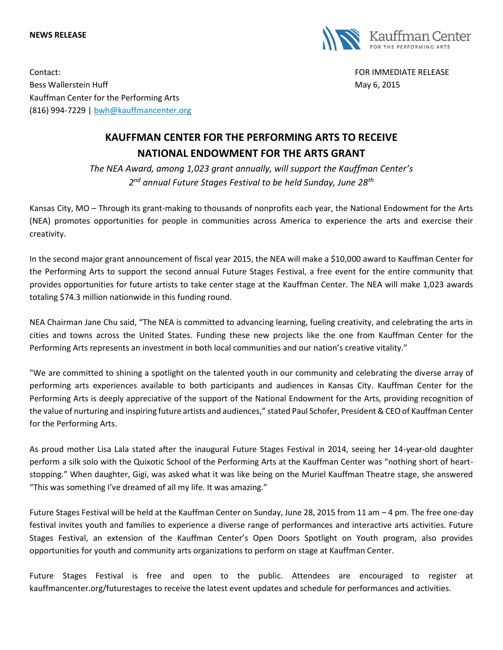## **NEWS RELEASE**



Contact: FOR IMMEDIATE RELEASE Bess Wallerstein Huff **May 6, 2015** Kauffman Center for the Performing Arts (816) 994-7229 | [bwh@kauffmancenter.org](mailto:bwh@kauffmancenter.org)

## **KAUFFMAN CENTER FOR THE PERFORMING ARTS TO RECEIVE NATIONAL ENDOWMENT FOR THE ARTS GRANT**

*The NEA Award, among 1,023 grant annually, will support the Kauffman Center's 2 nd annual Future Stages Festival to be held Sunday, June 28th*

Kansas City, MO – Through its grant-making to thousands of nonprofits each year, the National Endowment for the Arts (NEA) promotes opportunities for people in communities across America to experience the arts and exercise their creativity.

In the second major grant announcement of fiscal year 2015, the NEA will make a \$10,000 award to Kauffman Center for the Performing Arts to support the second annual Future Stages Festival, a free event for the entire community that provides opportunities for future artists to take center stage at the Kauffman Center. The NEA will make 1,023 awards totaling \$74.3 million nationwide in this funding round.

NEA Chairman Jane Chu said, "The NEA is committed to advancing learning, fueling creativity, and celebrating the arts in cities and towns across the United States. Funding these new projects like the one from Kauffman Center for the Performing Arts represents an investment in both local communities and our nation's creative vitality."

"We are committed to shining a spotlight on the talented youth in our community and celebrating the diverse array of performing arts experiences available to both participants and audiences in Kansas City. Kauffman Center for the Performing Arts is deeply appreciative of the support of the National Endowment for the Arts, providing recognition of the value of nurturing and inspiring future artists and audiences," stated Paul Schofer, President & CEO of Kauffman Center for the Performing Arts.

As proud mother Lisa Lala stated after the inaugural Future Stages Festival in 2014, seeing her 14-year-old daughter perform a silk solo with the Quixotic School of the Performing Arts at the Kauffman Center was "nothing short of heartstopping." When daughter, Gigi, was asked what it was like being on the Muriel Kauffman Theatre stage, she answered "This was something I've dreamed of all my life. It was amazing."

Future Stages Festival will be held at the Kauffman Center on Sunday, June 28, 2015 from 11 am – 4 pm. The free one-day festival invites youth and families to experience a diverse range of performances and interactive arts activities. Future Stages Festival, an extension of the Kauffman Center's Open Doors Spotlight on Youth program, also provides opportunities for youth and community arts organizations to perform on stage at Kauffman Center.

Future Stages Festival is free and open to the public. Attendees are encouraged to register at kauffmancenter.org/futurestages to receive the latest event updates and schedule for performances and activities.